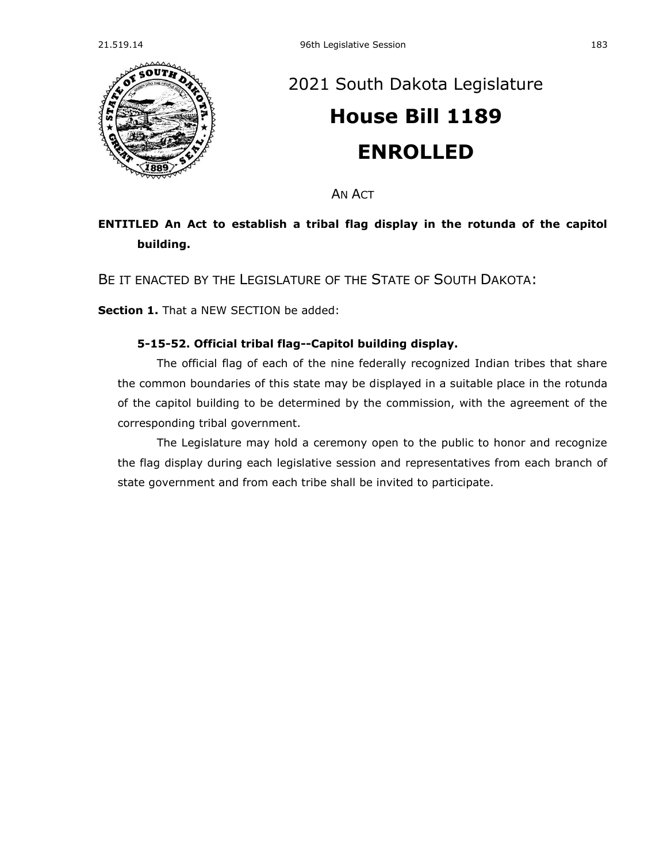

## [2021 South Dakota Legislature](https://sdlegislature.gov/Session/Bills/44) **[House Bill 1189](https://sdlegislature.gov/Session/Bill/22239) ENROLLED**

AN ACT

## **ENTITLED An Act to establish a tribal flag display in the rotunda of the capitol building.**

BE IT ENACTED BY THE LEGISLATURE OF THE STATE OF SOUTH DAKOTA:

**Section 1.** That a NEW SECTION be added:

## **5-15-52. Official tribal flag--Capitol building display.**

The official flag of each of the nine federally recognized Indian tribes that share the common boundaries of this state may be displayed in a suitable place in the rotunda of the capitol building to be determined by the commission, with the agreement of the corresponding tribal government.

The Legislature may hold a ceremony open to the public to honor and recognize the flag display during each legislative session and representatives from each branch of state government and from each tribe shall be invited to participate.